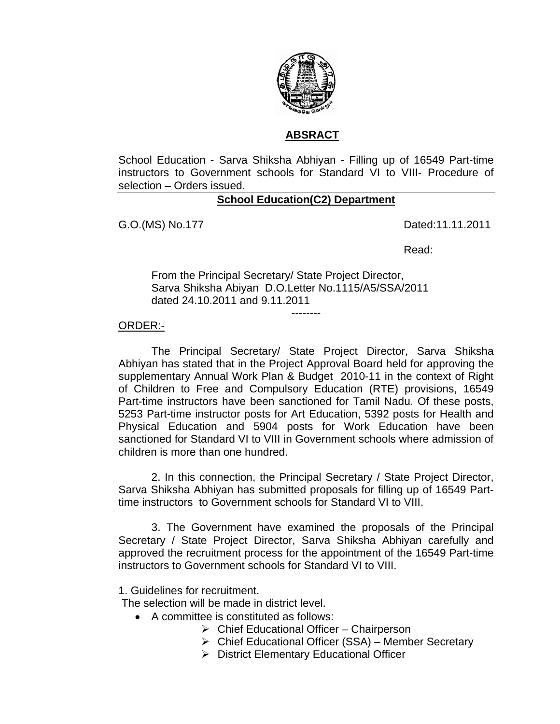

### **ABSRACT**

School Education - Sarva Shiksha Abhiyan - Filling up of 16549 Part-time instructors to Government schools for Standard VI to VIII- Procedure of selection – Orders issued.

# **School Education(C2) Department**

G.O.(MS) No.177 **Dated:11.11.2011** 

Read:

From the Principal Secretary/ State Project Director, Sarva Shiksha Abiyan D.O.Letter No.1115/A5/SSA/2011 dated 24.10.2011 and 9.11.2011

#### ORDER:-

The Principal Secretary/ State Project Director, Sarva Shiksha Abhiyan has stated that in the Project Approval Board held for approving the supplementary Annual Work Plan & Budget 2010-11 in the context of Right of Children to Free and Compulsory Education (RTE) provisions, 16549 Part-time instructors have been sanctioned for Tamil Nadu. Of these posts, 5253 Part-time instructor posts for Art Education, 5392 posts for Health and Physical Education and 5904 posts for Work Education have been sanctioned for Standard VI to VIII in Government schools where admission of children is more than one hundred.

--------

 2. In this connection, the Principal Secretary / State Project Director, Sarva Shiksha Abhiyan has submitted proposals for filling up of 16549 Parttime instructors to Government schools for Standard VI to VIII.

 3. The Government have examined the proposals of the Principal Secretary / State Project Director, Sarva Shiksha Abhiyan carefully and approved the recruitment process for the appointment of the 16549 Part-time instructors to Government schools for Standard VI to VIII.

1. Guidelines for recruitment.

The selection will be made in district level.

- A committee is constituted as follows:
	- $\triangleright$  Chief Educational Officer Chairperson
	- ¾ Chief Educational Officer (SSA) Member Secretary
	- ¾ District Elementary Educational Officer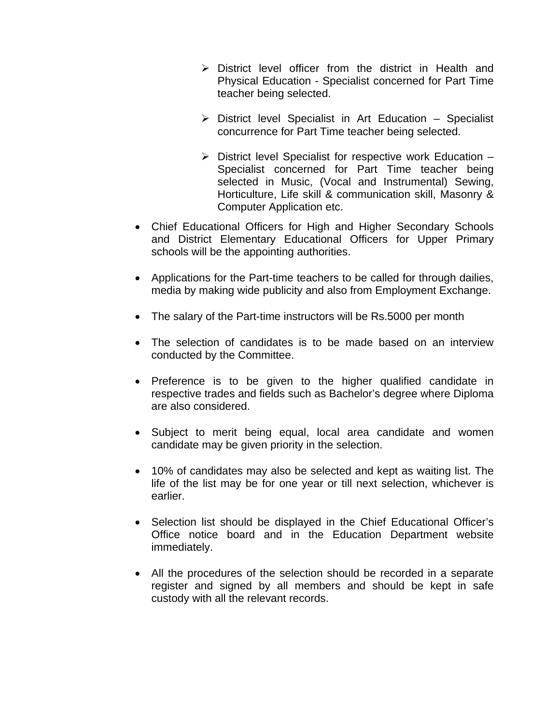- $\triangleright$  District level officer from the district in Health and Physical Education - Specialist concerned for Part Time teacher being selected.
- $\triangleright$  District level Specialist in Art Education Specialist concurrence for Part Time teacher being selected.
- $\triangleright$  District level Specialist for respective work Education Specialist concerned for Part Time teacher being selected in Music, (Vocal and Instrumental) Sewing, Horticulture, Life skill & communication skill, Masonry & Computer Application etc.
- Chief Educational Officers for High and Higher Secondary Schools and District Elementary Educational Officers for Upper Primary schools will be the appointing authorities.
- Applications for the Part-time teachers to be called for through dailies, media by making wide publicity and also from Employment Exchange.
- The salary of the Part-time instructors will be Rs.5000 per month
- The selection of candidates is to be made based on an interview conducted by the Committee.
- Preference is to be given to the higher qualified candidate in respective trades and fields such as Bachelor's degree where Diploma are also considered.
- Subject to merit being equal, local area candidate and women candidate may be given priority in the selection.
- 10% of candidates may also be selected and kept as waiting list. The life of the list may be for one year or till next selection, whichever is earlier.
- Selection list should be displayed in the Chief Educational Officer's Office notice board and in the Education Department website immediately.
- All the procedures of the selection should be recorded in a separate register and signed by all members and should be kept in safe custody with all the relevant records.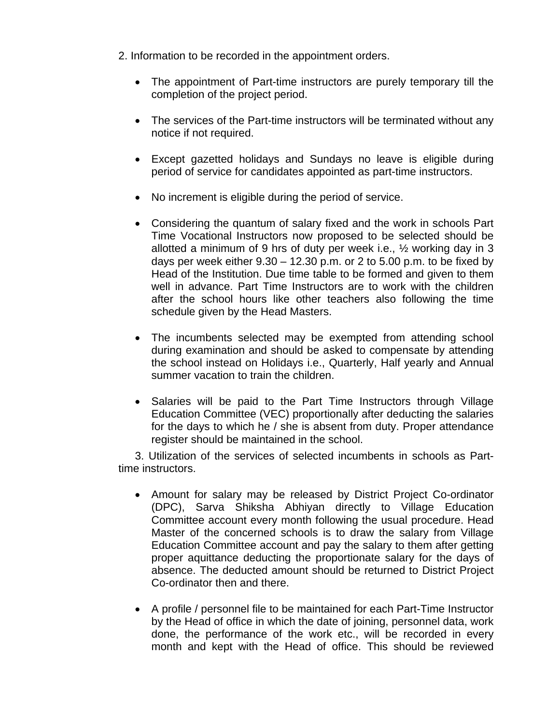- 2. Information to be recorded in the appointment orders.
	- The appointment of Part-time instructors are purely temporary till the completion of the project period.
	- The services of the Part-time instructors will be terminated without any notice if not required.
	- Except gazetted holidays and Sundays no leave is eligible during period of service for candidates appointed as part-time instructors.
	- No increment is eligible during the period of service.
	- Considering the quantum of salary fixed and the work in schools Part Time Vocational Instructors now proposed to be selected should be allotted a minimum of 9 hrs of duty per week i.e., ½ working day in 3 days per week either  $9.30 - 12.30$  p.m. or 2 to 5.00 p.m. to be fixed by Head of the Institution. Due time table to be formed and given to them well in advance. Part Time Instructors are to work with the children after the school hours like other teachers also following the time schedule given by the Head Masters.
	- The incumbents selected may be exempted from attending school during examination and should be asked to compensate by attending the school instead on Holidays i.e., Quarterly, Half yearly and Annual summer vacation to train the children.
	- Salaries will be paid to the Part Time Instructors through Village Education Committee (VEC) proportionally after deducting the salaries for the days to which he / she is absent from duty. Proper attendance register should be maintained in the school.

3. Utilization of the services of selected incumbents in schools as Parttime instructors.

- Amount for salary may be released by District Project Co-ordinator (DPC), Sarva Shiksha Abhiyan directly to Village Education Committee account every month following the usual procedure. Head Master of the concerned schools is to draw the salary from Village Education Committee account and pay the salary to them after getting proper aquittance deducting the proportionate salary for the days of absence. The deducted amount should be returned to District Project Co-ordinator then and there.
- A profile / personnel file to be maintained for each Part-Time Instructor by the Head of office in which the date of joining, personnel data, work done, the performance of the work etc., will be recorded in every month and kept with the Head of office. This should be reviewed